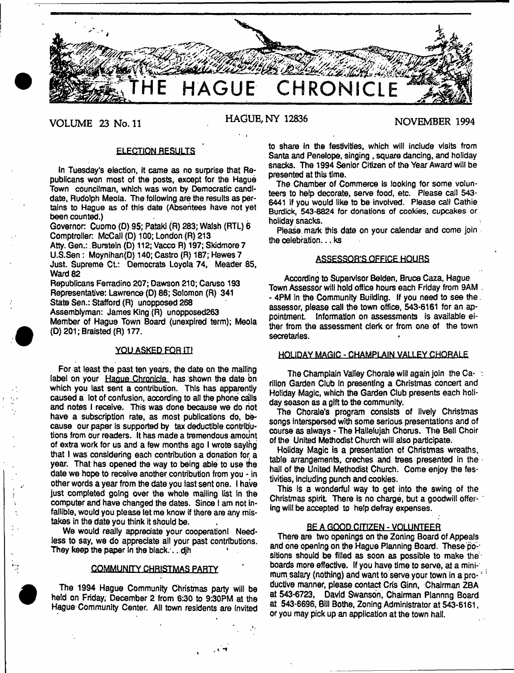

# **VOLUME 23 No. 11 HAGUE, NY 12836 NOVEMBER 1994**

## ELECTION RESULTS

In Tuesday's election, it came as no surprise that Republicans won most of the posts, except for the Hague Town councilman, which was won by Democratic candidate, Rudolph Meola. The following are the results as pertains to Hague as of this date (Absentees have not yet been counted.)

Governor Cuomo (D) 95; Pataki (R) 283; Walsh (RTL) 6 Comptroller. McCall (D) 100; London (R) 213 Atty. Gen.: Burstein (D) 112; Vacco R) 197; Skidmore 7 U.S.Sen: Moynihan(D) 140; Castro (R) 187; Hewes 7 Just. Supreme Ct.: Democrats Loyola 74, Meader 85, Ward 82 Republicans Ferradino 207; Dawson 210; Caruso 193

Representative: Lawrence (D) 86; Solomon (R) 341 State Sen.: Stafford (R) unopposed 268 Assemblyman: James King (R) unopposed263 Member of Hague Town Board (unexpired term); Meola (D) 201; Bralsted (R) 177.

## **YOU ASKED FOR HI**

For at least the past ten years, the date on the mailihg label on your Hague Chronicle has shown the date on which you last sent a contribution. This has apparently caused a lot of confusion, according to all the phone calls and notes I receive. This was done because we do riot have a subscription rate, as most publications do, because our paper is supported by tax deductible contributions from our readers. It has made a tremendous amount of extra work for us and a few months ago I wrote saying that I was considering each contribution a donation for a year. That has opened the way to being able to use tne date we hope to receive another contribution from you - in other words a year from the date you last sent one. I have just completed going over the whole mailing list in the computer and have changed the dates. Since I am not infallible, would you please let me know if there are any mistakes in the date you think it should be.

We would really appreciate your cooperation! Needless to say, we do appreciate all your past contributions. They keep the paper in the black... dih

#### COMMUNITY CHRISTMAS PARTY

The 1994 Hague Community Christmas party will be held on Friday, December 2 from 6:30 to 9:30PM at the Hague Community Center. All town residents are Invited

P *s* 1

to share in the festivities, which will include visits from Santa and Penelope, singing , square dancing, and holiday snacks. The 1994 Senior Citizen of the Year Award will be presented at this time.

The Chamber of Commerce is looking for some volunteers to help decorate, serve food, etc. Please call 543- 6441 If you would like to be involved. Please call Cathie Burdick, 543-8824 for donations of cookies, cupcakes or holiday snacks.

Please mark this date on your calendar and come join the celebration... ks

## ASSESSOR'S OFFICE HOURS

According to Supervisor Belden, Bruce Caza, Hague Town Assessor will hold office hours each Friday from 9AM . - 4PM in the Community Building. If you need to see the. assessor, please call the town office, 543-6161 for an appointment. Information on assessments is available either from the assessment clerk or from one of the town secretaries.

## HOLIDAY MAGIC - CHAMPLAIN VALLEY CHORALE

The Champlain Valley Chorale will again join the Carillon Garden Club In presenting a Christmas concert and Holiday Magic, which the Garden Club presents each holiday season as a gift to the community.

The Chorale's program consists of lively Christmas songs interspersed with some serious presentations and of course as always - The Hallelujah Chorus. The Bell Choir of the United Methodist Church will also participate.

Holiday Magic is a presentation of Christmas wreaths, table arrangements, creches and trees presented in the hall of the United Methodist Church. Come enjoy the festivities, including punch and cookies.

This Is a wonderful way to get into the swing of the Christmas spirit There is no charge, but a goodwill offer- ' ing wilt be accepted to help defray expenses.

#### BE A GOOD CITIZEN - VOLUNTEER

There are two openings on the Zoning Board of Appeals and one opening on the Hague Planning Board. These positions should be filled as soon as possible to make the boards more effective. If you have time to serve, at a mini-' mum salary (nothing) and want to serve your town in a pro-' ductive manner, please contact Cris Ginn, Chairman ZBA at 543\*6723, David Swanson, Chairman Plannng Board at 543-6696, Bill Bothe, Zoning Administrator at 543-6161, or you may pick up an application at the town hall.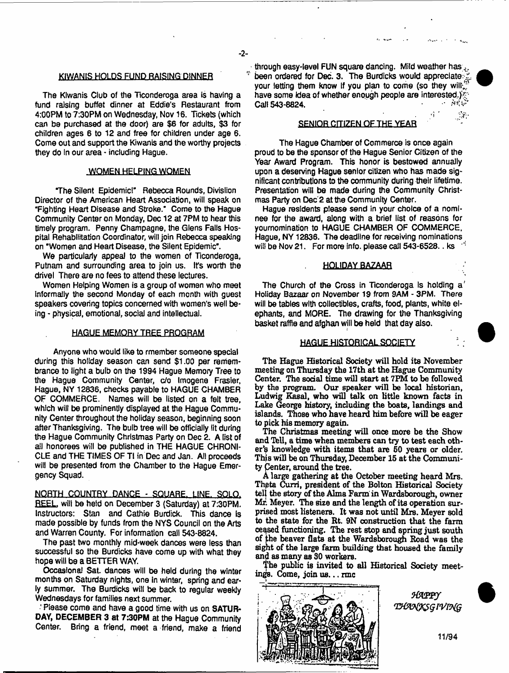$\ddot{\phi}$ 

#### KIWANIS HOLDS FUND RAISING DINNER

The Klwanis Club of the Ticonderoga area is having a fund raising buffet dinner at Eddie's Restaurant from 4:00PM to 7:30PM on Wednesday, Nov 16. Tickets (which can be purchased at the door) are \$6 for adults, \$3 for children ages 6 to 12 and free for children under age 6. Come out and support the Kiwanis and the worthy projects they do In our area - including Hague.

### WOMEN HELPING WOMEN

The Silent Epidemic!" Rebecca Rounds, Divislion Director of the American Heart Association, will speak on "Fighting Heart Disease and Stroke." Come to the Hague Community Center on Monday, Dec 12 at 7PM to hear this timely program. Penny Champagne, the Glens Falis Hospital Rehabilitation Coordinator, will join Rebecca speaking on "Women and Heart Disease, the Silent Epidemic".

We particularly appeal to the women of Ticonderoga, Putnam and surrounding area to join us. It's worth the drivel There are no fees to attend these lectures.

Women Helping Women is a group of women who meet informally the second Monday of each month with guest speakers covering topics concerned with women's well being - physical, emotional, social and intellectual.

#### HAGUE MEMORY TREE PROGRAM

Anyone who would like to rmember someone special during this holiday season can send \$1.00 per remembrance to light a bulb on the 1994 Hague Memory Tree to the Hague Community Center, c/o Imogens Frasier, Hague, NY 12836, checks payable to HAGUE CHAMBER OF COMMERCE. Names will be listed on a felt tree, which will be prominently displayed at the Hague Community Center throughout the holiday season, beginning soon after Thanksgiving. The bulb tree will be officially lit during the Hague Community Christmas Party on Dec 2. A list of all honorees will be published in THE HAGUE CHRONI-CLE and THE TIMES OF Tl in Dec and Jan. All proceeds will be presented from the Chamber to the Hague Emergency Squad.

NORTH COUNTRY DANCE - SQUARE. LINE. SOLO. REEL, will be held on December 3 (Saturday) at 7:30PM. Instructors: Stan and Cathie Burdick. This dance Is made possible by funds from the NYS Council on the Arts and Warren County. For information call 543-8824.

The past two monthly mid-week dances were less than successful so the Burdicks have come up with what they hope will be a BETTER WAY,

Occasional Sat. dances will be held during the winter months on Saturday nights, one In winter, spring and early summer. The Burdicks will be back to regular weekly Wednesdays for families next summer.

Please come and have a good time with us on SATUR-DAY, DECEMBER 3 at 7:30PM at the Hague Community Center. Bring a friend, meet a friend, make a friend

through easy-level FUN square dancing. Mild weather has been ordered for Dec. 3. The Burdicks would appreciate: your letting them know if you plan to come (so they wilt.) have some Idea of whether enough people are interested.) Call 543-8824.

#### SENIOR CITIZEN OF THE YEAR

The Hague Chamber of Commerce is once again proud to be the sponsor of the Hague Senior Citizen of the Year Award Program. This honor is bestowed annually upon a deserving Hague senior citizen who has made significant contributions to the community during their lifetime. Presentation will be made during the Community Christmas Party on Dec 2 at the Community Center.

Hague residents please send in your choice of a nominee for the award, along with a brief list of reasons for youmomination to HAGUE CHAMBER OF COMMERCE, Hague, NY 12836. The deadline for receiving nominations will be Nov 21. For more info, please call 543-6528. ks <sup>-1</sup>

#### HOLIDAY BAZAAR

The Church of the Cross in Ticonderoga is holding  $a^i$ Holiday Bazaar on November 19 from 9AM - 3PM. There will be tables with collectibles, crafts, food, plants, white elephants, and MORE. The drawing for the Thanksgiving basket raffle and afghan will be held that day also.

#### HAGUE HISTORICAL SOCIETY

The Hague Historical Society will hold its November meeting on Thursday the 17th at the Hague Community Center. The sodal time will start at 7PM to be followed by the program. Our speaker will be local historian, Ludwig Kasai, who will talk on little known facts in Lake George history, including the boats, landings and islands. Those who have heard him before will be eager to pick his memory again.

The Christmas meeting will once more be the Show and Tell, a time when members can try to test each other's knowledge with items that are 50 years or older. This will be on Thursday, December 15 at the Community Center, around the tree.

A large gathering at the October meeting heard Mrs. Thpta Curri, president of the Bolton Historical Society telj the story of the Alma Farm in Wardsborough, owner Mr. Meyer. The size and the length of its operation surprised most listeners. It was not until Mrs. Meyer sold to the state for the Rt. 9N construction that the farm ceased functioning. The rest stop and spring just south of the beaver flats at the Wardsborough Road was the sight of the large farm building that housed the family and as many as 30 workers.

The public is invited to all Historical Society meetings. Come, join us... rmc



HAPPY **THANKSGIVING**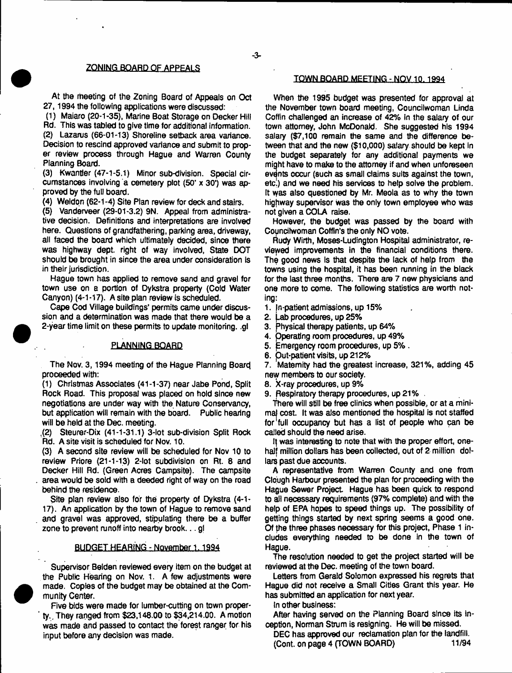At the meeting of the Zoning Board of Appeals on Oct 27,1994 the following applications were discussed:

(1) Maiaro (20-1-35), Marine Boat Storage on Decker Hill Rd. This was tabled to give time for additional information. (2) Lazarus (66-01-13) Shoreline setback area variance.

Decision to rescind approved variance and submit to proper review process through Hague and Warren County Planning Board.

(3) Kwantler (47-1-5.1) Minor sub-division. Special circumstances involving a cemetery plot (50' x 30') was approved by the full board.

(4) Weldon (62-1-4) Site Plan review for deck and stairs.

(5) Vanderveer (29-01-3.2) 9N. Appeal from administrative decision. Definitions and interpretations are involved here. Questions of grandfathering, parking area, driveway, all faced the board which ultimately decided, since there was highway dept, right of way involved, State DOT should be brought in since the area under consideration is in their jurisdiction.

Hague town has applied to remove sand and gravel for town use on a portion of Dykstra property (Cold Water Canyon) (4-1-17). A site plan review is scheduled.

Cape Cod Village buildings' permits came under discussion and a determination was made that there would be a 2-year time limit on these permits to update monitoring, .gl

#### PLANNING BOARD

The Nov. 3, 1994 meeting of the Hague Planning Board proceeded with:

(1) Christmas Associates (41-1-37) near Jabe Pond, Split Rock Road. This proposal was placed on hold since new negotiations are under way with the Nature Conservancy, but application will remain with the board. Public hearing will be held at the Dec. meeting.

.(2) Steurer-Dix (41-1-31.1) 3-lot sub-division Split Rock Rd. A site visit is scheduled for Nov. 10.

(3) A second site review will be scheduled for Nov 10 to review Priore (21-1-13) 2-lot subdivision on Rt. 8 and Decker Hill Rd. (Green Acres Campsite). The campsite area would be sold with a deeded right of way on the road behind the residence.

Site plan review also for the property of Dykstra (4-1- 17). An application by the town of Hague to remove sand and gravel was approved, stipulating there be a buffer zone to prevent runoff into nearby brook...gl

#### BUDGET HEARING - November 1.1994

Supervisor Belden reviewed every item on the budget at the Public Hearing on Nov. 1. A few adjustments were made. Copies of the budget may be obtained at the Community Center.

Five bids were made for lumber-cutting on town property.. They ranged from \$23,148.00 to \$34,214.00. A motion was made and passed to contact the forest ranger for his input before any decision was made.

## TOWN BOARD MEETING - NQV 10.1994

When the 1995 budget was presented for approval at the November town board meeting, Councilwoman Linda Coffin challenged an increase of 42% in the salary of our town attorney, John McDonald. She suggested his 1994 salary (\$7,100 remain the same and the difference between that and the new (\$10,000) salary should be kept In the budget separately for any additional payments we might have to make to the attorney if and when unforeseen events occur (such as small claims suits against the town, etc.) and we need his services to help solve the problem. It was also questioned by Mr. Meola as to why the town highway supervisor was the only town employee who was not given a COLA raise.

However, the budget was passed by the board with Councilwoman Coffin's the only NO vote.

Rudy Wirth, Moses-Ludington Hospital administrator, reviewed improvements in the financial conditions there. The good news is that despite the lack of help from the towns using the hospital, it has been running in the black for the last three months. There are 7 new physicians and one more to come. The following statistics are worth noting:

- 1. fn-patient admissions, up 15%
- 2. Lab procedures, up 25%
- 3. physical therapy patients, up 64%
- 4. Operating room procedures, up 49%
- 5. Emergency room procedures, up 5%.
- 6. Out-patient visits, up 212%

7. Maternity had the greatest increase, 321%, adding 45 new members to our society.

8. X-ray procedures, up 9%

9. Respiratory therapy procedures, up 21% .

There will still be free clinics when possible, or at a minimal cost. It was also mentioned the hospital is not staffed for full occupancy but has a list of people who can be called should the need arise.

If was interesting to note that with the proper effort, onehalf million dollars has been collected, out of 2 million dollars past due accounts.

A representative from Warren County and one from Clough Harbour presented the plan for proceeding with the Hague Sewer Project Hague has been quick to respond to ail necessary requirements (97% complete) and with the help of EPA hopes to speed things up. The possibility of getting things started by next spring seems a good one. Of the three phases necessary for this project, Phase 1 includes everything needed to be done in the town of Hague.

The resolution needed to get the project started will be reviewed at the Dec. meeting of the town board.

Letters from Gerald Solomon expressed his regrets that Hague did not receive a Small Cities Grant this year. He has submitted an application for next year.

In other business:

After having served on the Planning Board since its inception, Norman Strum is resigning. He will be missed.

DEC has approved our reclamation plan for the landfill. (Cont. on page 4 (TOWN BOARD) 11/94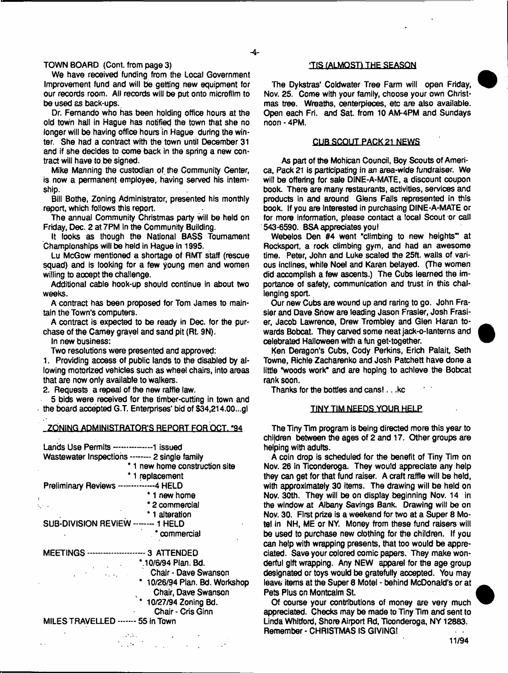## TOWN BOARD (Cont. from page 3)

We have received funding from the local Government Improvement fund and will be getting new equipment for our records room. All records will be put onto microfilm to be used as back-ups.

Dr. Fernando who has been holding office hours at the old town hall In Hague has notified the town that she no longer will be having office hours in Hague during the winter. She had a contract with the town until December 31 and if she decides to come back in the spring a new contract will have to be signed.

Mike Manning the custodian of the Community Center, is now a permanent employee, having served his internship.

Bill Bothe, Zoning Administrator, presented his monthly report, which follows this report.

The annual Community Christmas party will be held on Friday, Dec. 2 at 7PM In the Community Building.

It looks as though the National BASS Tournament Championships will be held in Hague in 1995.

Lu McGow mentioned a shortage of RMT staff (rescue squad) and is looking for a few young men and women willing to accept the challenge.

Additional cable hook-up should continue in about two weeks.

A contract has been proposed for Tom James to maintain the Town's computers.

A contract is expected to be ready in Dec. for the purchase of the Camay gravel and sand pit (Rt. 9N).

In new business:

Two resolutions were presented and approved:

1. Providing access of public lands to the disabled by allowing motorized vehicles such as wheel chairs, into areas that are now only available to Walkers.

2. Requests a repeal of the new raffle law.

5 bids were received for the timber-cutting in town and the board accepted G.T. Enterprises' bid of \$34,214.00...gl

## ZONING ADMINISTRATOR'S REPORT FOR OCT. '94

| Wastewater Inspections ------- 2 single family |
|------------------------------------------------|
| * 1 new home construction site                 |
| 1 replacement                                  |
| Preliminary Reviews -------------4 HELD        |
| 1 new home                                     |
| * 2 commercial                                 |
| 1 alteration                                   |
| SUB-DIVISION REVIEW ------- 1 HELD             |
| commercial                                     |
| <b>MEETINGS -</b>                              |
| *.10/6/94 Plan. Bd.                            |
| Chair - Dave Swanson                           |
| 10/26/94 Plan. Bd. Workshop                    |
| Chair, Dave Swanson                            |
| * 10/27/94 Zoning Bd.                          |
| Chair - Cris Ginn                              |
| MILES TRAVELLED ------- 55 in Town             |

#### TIS (ALMOST) THE SEASON

The Dykstras' Coldwater Tree Farm will open Friday, Nov. 25. Come with your family, choose your own Christmas tree. Wreaths, centerpieces, etc are also available. Open each Fri. and Sat. from 10 AM-4PM and Sundays noon - 4PM.

## CUB SCOUT PACK 21 NEWS

As part of the Mohican Council, Boy Scouts of America. Pack 21 is participating in an area-wide fundraiser. We will be offering for sale DINE-A-MATE, a discount coupon book. There are many restaurants, activities, services and products in and around Glens Falls represented in this book. If you are Interested in purchasing DINE-A-MATE or for more Information, please contact a local Scout or call 543-6590. BSA appreciates you)

Webelos Den #4 went "climbing to new heights" at Rocksport, a rock climbing gym, and had an awesome time. Peter, John and Luke scaled the 25ft. walls of various inclines, white Noel and Karen belayed. (The women did accomplish a few ascents.) The Cubs learned the importance of safety, communication and trust in this challenging sport.

Our new Cubs are wound up and raring to go. John Frasier and Dave Snow are leading Jason Frasier, Josh Frasier, Jacob Lawrence, Drew Trombley and Glen Haran towards Bobcat. They carved some neat jack-o-lanterns and celebrated Halloween with a fun get-together.

Ken Deragon's Cubs, Cody Perkins, Erich Palait, Seth Towne, Richie Zacharenko and Josh Patchett have done a little "woods work\* and are hoping to achieve the Bobcat rank soon.

Thanks for the bottles and cans!.. .kc

#### TINY TIM NEEDS YOUR HELP

The Tiny Tim program is being directed more this year to chi|dren between the ages of 2 and 17. Other groups are helping with adults.

A coin drop is scheduled for the benefit of Tiny Tim on Nov. 26 in Ticonderoga. They would appreciate any help they can get for that fund raiser. A craft raffle will be held, with approximately 30 items. The drawing will be held on Nov. 30th. They will be on display beginning Nov. 14 in the window at Albany Savings Bank. Drawing will be on Nov. 30. First prize is a weekend for two at a Super 8 Motel in NH, ME or NY. Money from these fund raisers will be used to purchase new clothing for the children. If you can help with wrapping presents, that too would be appreciated. Save your colored comic papers. They make wonderful gift wrapping. Any NEW apparel for the age group designated or toys would be gratefully accepted. You may leave items at the Super 8 Motel - behind McDonald's or at Pets Pius on Montcalm St.

Of course your contributions of money are very much appreciated. Checks may be made to Tiny Tim and sent to Linda Whltford, Shore Airport Rd, Ticonderoga, NY 12883. Remember - CHRISTMAS IS GIVING!  $\mathbf{r} = \mathbf{r}$ 

11/94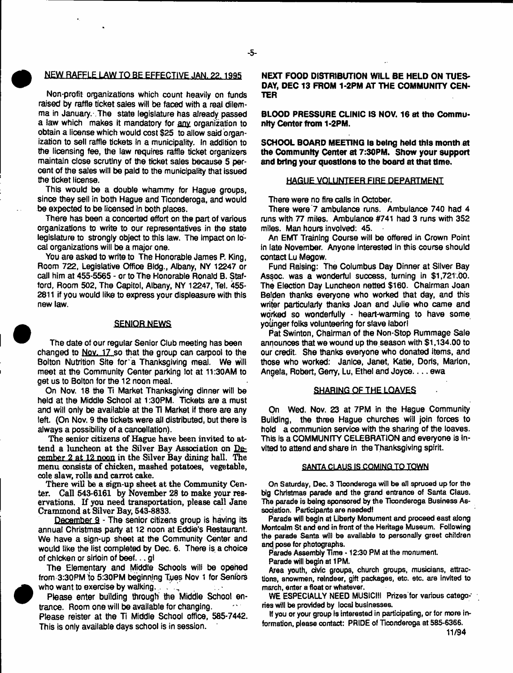## $-5-$

## NEW RAFFLE LAW TO BE EFFECTIVE JAN. 22.1995

Non-profit organizations which count heavily on funds raised by raffle ticket sales will be faced with a real dilemma in January.-.The state legislature has already passed a law which makes it mandatory for any organization to obtain a license which would cost \$25 to allow said organization to sell raffle tickets In a municipality. In addition to the licensing fee, the law requires raffle ticket organizers maintain close scrutiny of the ticket sales because 5 percent of the sales will be paid to the municipality that issued the ticket license.

This would be a double whammy for Hague groups, since they sell in both Hague and Ticonderoga, and would be expected to be licensed in both places.

There has been a concerted effort on the part of various organizations to write to our representatives in the state legislature to strongly object to this law. The Impact on local organizations will be a major one.

You are asked to write to The Honorable James P. King, Room 722, Legislative Office 8ldg., Albany, NY 12247 or call him at 455-5565 - or to The Honorable Ronald B. Stafford, Room 502, The Capitol, Albany, NY 12247, TeL 455- 2811 if you would like to express your displeasure with this new law.

#### **SENIOR NEWS**

The date of our regular Senior Club meeting has been changed to Nov. 17 so that the group can carpool to the Bolton Nutrition Site for a Thanksgiving meal. We will meet at the Community Center parking lot at 11:30AM to get us to Bolton for the 12 noon meal.

On Nov. 18 the Ti Market Thanksgiving dinner will be held at the Middle School at 1:30PM. Tickets are a must and will only be available at the Ti Market if there are any left. (On Nov. 9 the tickets were all distributed, but there is always a possibility of a cancellation).

The senior citizens of Hague have been invited to attend a luncheon at the Silver Bay Association on December 2 at 12 noon in the Silver Bay dining hall. The menu consists of chicken, mashed potatoes, vegetable, cole slaw, rolls and carrot cake.

There will be a sign-up sheet at the Community Cen-Call 543-6161 by November 28 to make your reservations. If you need transportation, please call Jane Crammond at Silver Bay, 543-8833.

December 9 - The senior citizens group is having its annual Christmas party at 12 noon at Eddie's Restaurant. We have a sign-up sheet at the Community Center and would like the list completed by Dec. 6. There is a choice of chicken or sirloin of beef... gl

The Elementary and Middle Schools will be opened from 3:30PM to 5:30PM beginning Tues Nov 1 for Seniors who want to exercise by walking.

**Please enter building through the Middle School entrance. Room one will be available for changing.**

Please reister at the Ti Middle School office, 585-7442. This is only available days school is in session.

**NEXT FOOD DISTRIBUTION WILL BE HELD ON TUES-DAY, DEC 13 FROM 1-2PM AT THE COMMUNITY CEN-TER**

**BLOOD PRESSURE CLINIC IS NOV. 16 at the Community Center from 1-2PM.**

**SCHOOL BOARD MEETING Is being held this month at the Community Center at 7:30PM. Show your support and bring your questions to the board at that time.**

#### **HAGUE VOLUNTEER FIRE DEPARTMENT**

There were no fire calls in October.

There were 7 ambulance runs. Ambulance 740 had 4 runs with 77 miles. Ambulance #741 had 3 runs with 352 miles. Man hours involved: 45.

An EMT Training Course will be offered in Crown Point In late November. Anyone interested in this course should contact Lu Megow.

Fund Raising: The Columbus Day Dinner at Silver Bay Assoc, was a wonderful success, turning in \$1,721.00. The Election Day Luncheon netted \$160. Chairman Joan Belden thanks everyone who worked that day, and this writer particularly thanks Joan and Julie who came and worked so wonderfully - heart-warming to have some younger folks volunteering for slave labor!

Pat Swinton, Chairman of the Non-Stop Rummage Sale announces that we wound up the season with \$1,134.00 to our credit. She thanks everyone who donated items, and those who worked: Janice, Janet, Katie, Doris, Marion, Angela, Robert, Gerry, Lu, Ethel and Joyce.. . . ewa

#### SHARING OF THE LOAVES

On Wed. Nov. 23 at 7PM in the Hague Community Building, the three Hague churches will join forces to hold a communion service with the sharing of the loaves. This is a COMMUNITY CELEBRATION and everyone is Invited to attend and share in the Thanksgiving spirit.

#### SANTA CLAUS IS COMING TO TOWN

**On Saturday, Dec. 3 Ticonderoga will be all spruced up for the big Christmas parade and the grand entrance of Santa Claus. The parade is being sponsored by the Ticonderoga Business Association. Participants are needed!**

**Parade will begin at Liberty Monument and proceed east along Montcalm St and end in front of the Heritage Museum. Following the parade Santa will be available to personally greet children and, pose for photographs.**

**Parade Assembly Tima \* 12:30 PM at the monument**

**Parade will begin at 1 PM.**

**Area youth, civic groups, church groups, musicians, attractions, snowmen, reindeer, gift packages, etc. etc. are invited to march, enter a float or whatever.**

**WE ESPECIALLY NEED MUSIC!!! Prizes for various categories will be provided by local businesses.**

**If you or your group is interested in participating, or for more information, please contact: PRIDE of Ticonderoga at 585-6366.**

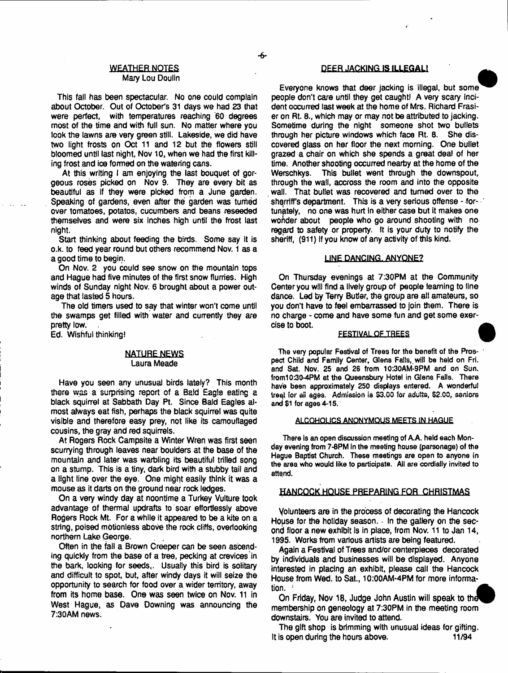#### **WEATHER NOTES** Mary Lou Doulin

This fall has been spectacular. No one could complain about October. Out of October's 31 days we had 23 that were perfect, with temperatures reaching '60 degrees most of the time and with full sun. No matter where you look the lawns are very green still. Lakeside, we did have two light frosts on Oct 11 and 12 but the flowers still bloomed until last night, Nov 10, when we had the first killing frost and ice formed on the watering cans.

At this writing I am enjoying the last bouquet of gorgeous roses picked on Nov 9. They are every bit as beautiful as if they were picked from a June garden. Speaking of gardens, even after the garden was turned over tomatoes, potatos, cucumbers and beans reseeded themselves and were six inches high until the frost last night.

Start thinking about feeding the birds. Some say it is o.k. to feed year round but others recommend Nov. 1 as a a good time to begin.

On Nov. 2 you could see snow on the mountain tops and Hague had five minutes of the first snow flurries. High winds of Sunday night Nov. 6 brought about a power outage that lasted 5 hours.

The old timers used to say that winter won't come until the swamps get filled with water and currently they are pretty low. .

Ed. Wishful thinking!

#### **NATURE NEWS** Laura Meade

Have you seen any unusual birds lately? This month there was a surprising report of a Bald Eagle eating a black squirrel at Sabbath Day Pt. Since Bald Eagles almost always eat fish, perhaps the black squirrel was quite visible and therefore easy prey, not like its camouflaged cousins, the gray and red squirrels.

At Rogers Rock Campsite a Winter Wren was first seen scurrying through leaves near boulders at the base of the mountain and later was warbling its beautiful trilled song on a stump. This is a tiny, dark bird with a stubby tail and a light tine over the eye. One might easily think it was a mouse as it darts on the ground near rock ledges.

On a very windy day at noontime a Turkey Vulture took advantage of thermal updrafts to soar effortlessly above Rogers Rock Mt. For a while it appeared to be a kite on a string, poised motionless above the rock cliffs, overlooking northern Lake George.

Often in the fall a Brown Creeper can be seen ascending quickly from the base of a tree, pecking at crevices'in the bark, looking for seeds,. Usually this bird is solitary and difficult to spot, but, after windy days it will seize the opportunity to search for food over a wider territory, away from its home base. One was seen twice on Nov. 11 in West Hague, as Dave Downing was announcing the 7:30AM news.

## **DEER JACKING.IS ILLEGAL!**

∽.

Everyone knows that deer jacking is illegal, but some people don't care until they get caughtl A very scary Incident occurred last week at the home of Mrs. Richard Frasier on Rt. 8., which may or may not be attributed to jacking. Sometime during the night someone shot two bullets through her picture windows which face Rt. 8. She discovered glass on her floor the next morning. One bullet grazed a chair on which she spends a great deal of her time. Another shooting occurred nearby at the home of the Werschkys. This bullet went through the downspout, through the wail, accross the room and into the opposite wall. That bullet was recovered and turned over to the sherriff's department. This is a very serious offense - fortunately, no one was hurt in either case but it makes one wonder about people who go around shooting with no regard to safety or property. It is your duty to notify the sheriff, (911) If you know of any activity of this kind.

#### LINE DANCING. ANYONE?

On Thursday evenings at 7:30PM at the Community Center you will find a lively group of people learning to tine dance. Led by Terry Butler, the group are ail amateurs, so you don't have to feel embarrassed to join them. There is no charge - come and have some fun and get some exercise to boot.

#### **FESTIVAL OF TREES**

**The very popular Festival of Trees for the benefit of the Pros- ' pect Child and Family Center, Glens Fails,, will be held on Fri. and Sat. Nov. 25 and 26 from 10:30AM-9PM and on Sun. from10;30-4PM at the Queensbury Hotel in Glens Falls. There have been approximately 250 displays entered. A wonderful tre^i for ail ages. Admission is \$3.00 for adults, \$2.00, seniors and \$1 for ages 4-15.**

#### **ALCOHOLICS ANONYMOUS MEETS IN HAGUE**

**There is an open discussion meeting of A.A. held each Monday evening from 7-8PM In the meeting house (parsonage) of the Hague Baptist Church. These meetings are open to anyone in the area who would like to participate. All are cordially invited to attend.**

#### HANCOCK HOUSE PREPARING FOR CHRISTMAS

Volunteers are in the process of decorating the Hancock House for the holiday season. In the gallery on the second floor a new exhibit is in place, from Nov. 11 to Jan 14, 1995. Works from various artists are being featured.

Again a Festival of Trees and/or centerpieces decorated by individuals and businesses will be displayed. Anyone interested in placing an exhibit, piease call the Hancock House from Wed. to Sat., 10:00AM-4PM for more information.

On Friday, Nov 18, Judge John Austin will speak to the membership on geneology at 7:30PM in the meeting room downstairs. You are invited to attend.

The gift shop is brimming with unusual ideas for gifting. It is open during the hours above. 11/94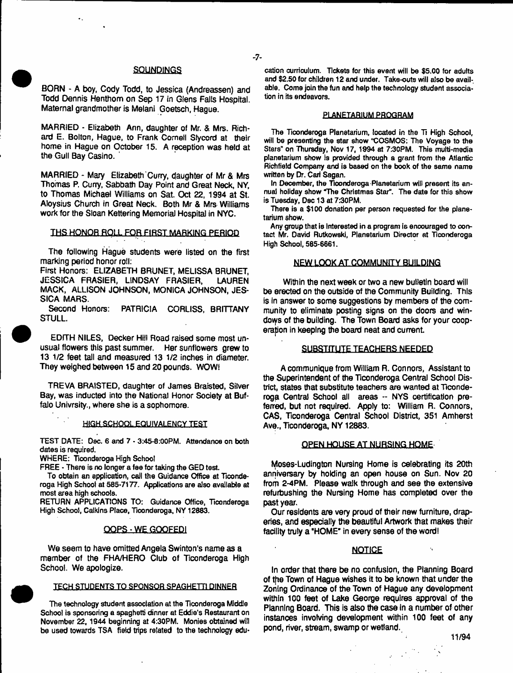#### **SQUNDINGS**

- 7-

BORN - A boy, Cody Todd, to Jessica (Andreassen) and Todd Dennis Henthom on Sep 17 in Glens Falls Hospital. Maternal grandmother is Melani Goetsch, Hague.

MARRIED - Elizabeth Ann, daughter of Mr. & Mrs. Richard E. Bolton, Hague, to Frank Cornell Slycord at their home in Hague on October 15. A reception was held at the Gull Bay Casino.

MARRIED - Mary Elizabeth Curry, daughter of Mr & Mrs Thomas P. Curry, Sabbath Day Point and Great Neck, NY, to Thomas Michael Williams on Sat Oct 22, 1994 at St. Aloysius Church in Great Neck. Both Mr & Mrs Williams work for the Sloan Kettering Memorial Hospital in NYC.

#### THS HONOR ROLL FOR FIRST MARKING PERIOD

The following Hague students were listed on the first marking period honor roll:

First Honors: ELIZABETH BRUNET, MELISSA BRUNET, JESSICA FRASIER, LINDSAY FRASIER, LAUREN MACK, ALLISON JOHNSON, MONICA JOHNSON, JES-SICA MARS.

Second Honors: PATRICIA CORLISS, BRITTANY STULL.

EDITH NILES, Decker Hill Road raised some most unusual flowers this past summer. Her sunflowers grew to 13 1/2 feet tall and measured 13 1/2 inches in diameter. They weighed between 15 and 20 pounds. WOW!

TREVA BRAISTED, daughter of James Braisted, Silver Bay, was inducted into the National Honor Society at Buffalo Univrsity., where she is a sophomore.

#### **HIGH SCHOOL EQUIVALENCY TEST**

**TEST DATE: Dec. 6 and 7 - 3:45-8:00PM. Attendance on both dates is required.**

**WHERE: Ticonderoga High School**

**FREE - There is no longer a fee for taking the GED test.**

**To obtain an application, call the Guidance Office at Ticonderoga High School at 585-7177. Applications are also available at most area high schools.**

**RETURN APPLICATIONS TO: Guidance Office, Ticonderoga High School, Calkins Place, Ticonderoga, NY 12883.**

#### OOPS-WE GQQFEDI

We seem to have omitted Angela Swinton's name as a member of the FHA/HERO Club of Ticonderoga High School. We apologize.

#### **TECH STUDENTS TO SPONSOR SPAGHETTI DINNER**

**The technology student association at the Ticonderoga Middle School is sponsoring a spaghetti dinner at Eddie's Restaurant on November 22,1944 beginning at 4:30PM. Monies obtained will be used towards TSA field trips related to the technology edu-**

**cation curriculum. Tickets for this event will be \$5.00 for adults and \$2.50 for children 12 and under. Take-outs will also be available. Come join the fun and help the technology student association in its endeavors.**

#### **PLANETARIUM PROGRAM**

**The Ticonderoga Planetarium, located in the Ti High School, will be presenting the star show "COSMOS: The Voyage to the Stars" on Thursday, Nov 17, 1994 at 7:30PM. This multi-media planetarium show is provided through a grant from the Atlantic Richfield Company and is baaed on the book of the same name written by Dr, Carl Sagan.**

In December, the Ticonderoga Planetarium will present its an**nual holiday show "The Christmas Star". The date for this show is Tuesday, Dec 13 at 7:30PM.**

**There is a \$100 donation per person requested for the planetarium show.**

**Any group that is interested in a program Is encouraged to contact Mr. David Rutkowski, Planetarium Director at Ticonderoga High School, 585-6661.**

#### NEW LOOK AT COMMUNITY BUILDING

Within the next week or two a new bulletin board will be erected on the outside of the Community Building. This is in answer to some suggestions by members of the community to eliminate posting signs on the doors and windows of the building. The Town Board asks for your cooperation in keeping the board neat and current.

#### SUBSTITUTE TEACHERS NEEDED

A communique from William R. Connors, Assistant to the Superintendent of the Ticonderoga Central School District, states that substitute teachers are wanted at Ticonderoga Central School all areas -- NYS certification preferred, but not required. Apply to: William R. Connors, CAS, Ticonderoga Central School District, 351 Amherst Ave., Ticonderoga, NY 12883.

#### OPEN HOUSE AT NURSING HOME

Moses-Ludington Nursing Home is celebrating its 20th anniversary by holding an open house on Sun. Nov 20 from 2-4PM. Please walk through and see the extensive refuibushing the Nursing Home has completed over the past year.

Our residents are very proud of their new furniture, draperies, and especially the beautiful Artwork that makes their facility truly a "HOME' in every sense of the word!

#### **NOTICE**

In order that there be no confusion, the Planning Board of the Town of Hague wishes it to be known that under the Zoning Ordinance of the Town of Hague any development within 100 feet of Lake George requires approval of the Planning Board. This is also the case in a number of other instances involving development within 100 feet of any pond, river, stream, swamp or wetland.